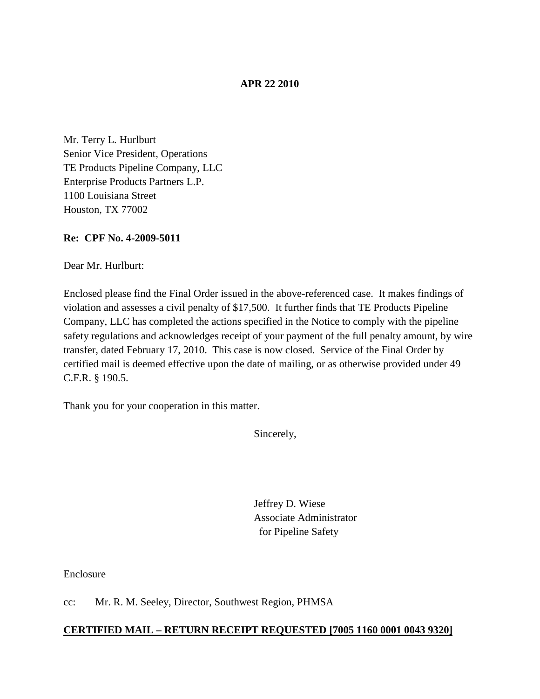## **APR 22 2010**

Mr. Terry L. Hurlburt Senior Vice President, Operations TE Products Pipeline Company, LLC Enterprise Products Partners L.P. 1100 Louisiana Street Houston, TX 77002

## **Re: CPF No. 4-2009-5011**

Dear Mr. Hurlburt:

Enclosed please find the Final Order issued in the above-referenced case. It makes findings of violation and assesses a civil penalty of \$17,500. It further finds that TE Products Pipeline Company, LLC has completed the actions specified in the Notice to comply with the pipeline safety regulations and acknowledges receipt of your payment of the full penalty amount, by wire transfer, dated February 17, 2010. This case is now closed. Service of the Final Order by certified mail is deemed effective upon the date of mailing, or as otherwise provided under 49 C.F.R. § 190.5.

Thank you for your cooperation in this matter.

Sincerely,

Jeffrey D. Wiese Associate Administrator for Pipeline Safety

Enclosure

cc: Mr. R. M. Seeley, Director, Southwest Region, PHMSA

## **CERTIFIED MAIL – RETURN RECEIPT REQUESTED [7005 1160 0001 0043 9320]**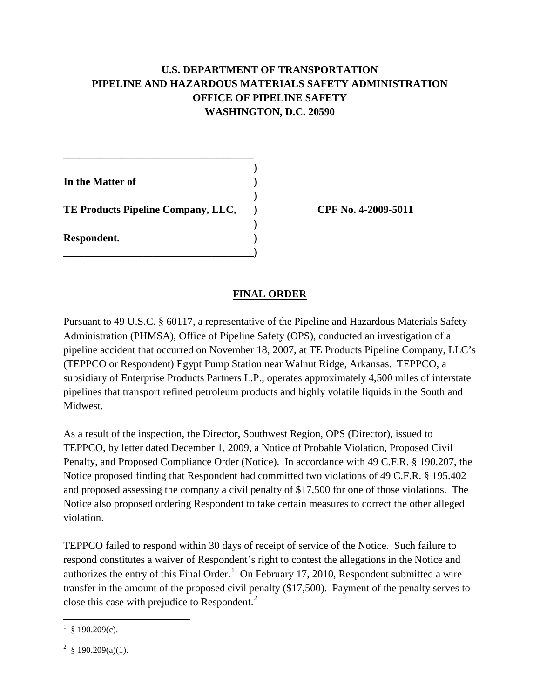# **U.S. DEPARTMENT OF TRANSPORTATION PIPELINE AND HAZARDOUS MATERIALS SAFETY ADMINISTRATION OFFICE OF PIPELINE SAFETY WASHINGTON, D.C. 20590**

| In the Matter of                   |  |
|------------------------------------|--|
| TE Products Pipeline Company, LLC, |  |
| Respondent.                        |  |

**\_\_\_\_\_\_\_\_\_\_\_\_\_\_\_\_\_\_\_\_\_\_\_\_\_\_\_\_\_\_\_\_\_\_\_\_)**

**\_\_\_\_\_\_\_\_\_\_\_\_\_\_\_\_\_\_\_\_\_\_\_\_\_\_\_\_\_\_\_\_\_\_\_\_**

**TE Products Pipeline Company, LLC, ) CPF No. 4-2009-5011**

## **FINAL ORDER**

Pursuant to 49 U.S.C. § 60117, a representative of the Pipeline and Hazardous Materials Safety Administration (PHMSA), Office of Pipeline Safety (OPS), conducted an investigation of a pipeline accident that occurred on November 18, 2007, at TE Products Pipeline Company, LLC's (TEPPCO or Respondent) Egypt Pump Station near Walnut Ridge, Arkansas. TEPPCO, a subsidiary of Enterprise Products Partners L.P., operates approximately 4,500 miles of interstate pipelines that transport refined petroleum products and highly volatile liquids in the South and Midwest.

As a result of the inspection, the Director, Southwest Region, OPS (Director), issued to TEPPCO, by letter dated December 1, 2009, a Notice of Probable Violation, Proposed Civil Penalty, and Proposed Compliance Order (Notice). In accordance with 49 C.F.R. § 190.207, the Notice proposed finding that Respondent had committed two violations of 49 C.F.R. § 195.402 and proposed assessing the company a civil penalty of \$17,500 for one of those violations. The Notice also proposed ordering Respondent to take certain measures to correct the other alleged violation.

TEPPCO failed to respond within 30 days of receipt of service of the Notice. Such failure to respond constitutes a waiver of Respondent's right to contest the allegations in the Notice and authorizes the entry of this Final Order.<sup>[1](#page-1-0)</sup> On February 17, 2010, Respondent submitted a wire transfer in the amount of the proposed civil penalty (\$17,500). Payment of the penalty serves to close this case with prejudice to Respondent.<sup>[2](#page-1-1)</sup>

<span id="page-1-0"></span> $\frac{1}{1}$  $\frac{1}{9}$  § 190.209(c).

<span id="page-1-1"></span><sup>&</sup>lt;sup>2</sup> § 190.209(a)(1).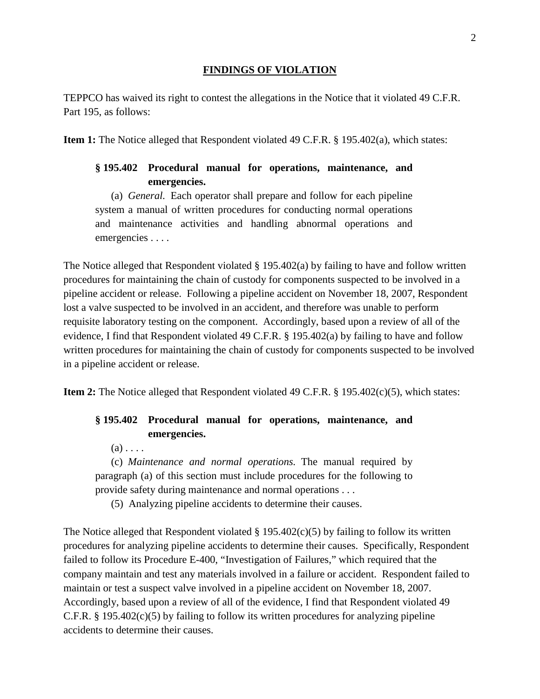#### **FINDINGS OF VIOLATION**

TEPPCO has waived its right to contest the allegations in the Notice that it violated 49 C.F.R. Part 195, as follows:

**Item 1:** The Notice alleged that Respondent violated 49 C.F.R. § 195.402(a), which states:

## **§ 195.402 Procedural manual for operations, maintenance, and emergencies.**

(a) *General.* Each operator shall prepare and follow for each pipeline system a manual of written procedures for conducting normal operations and maintenance activities and handling abnormal operations and emergencies . . . .

The Notice alleged that Respondent violated § 195.402(a) by failing to have and follow written procedures for maintaining the chain of custody for components suspected to be involved in a pipeline accident or release. Following a pipeline accident on November 18, 2007, Respondent lost a valve suspected to be involved in an accident, and therefore was unable to perform requisite laboratory testing on the component. Accordingly, based upon a review of all of the evidence, I find that Respondent violated 49 C.F.R. § 195.402(a) by failing to have and follow written procedures for maintaining the chain of custody for components suspected to be involved in a pipeline accident or release.

**Item 2:** The Notice alleged that Respondent violated 49 C.F.R. § 195.402(c)(5), which states:

## **§ 195.402 Procedural manual for operations, maintenance, and emergencies.**

 $(a)$ ...

(c) *Maintenance and normal operations.* The manual required by paragraph (a) of this section must include procedures for the following to provide safety during maintenance and normal operations . . .

(5) Analyzing pipeline accidents to determine their causes.

The Notice alleged that Respondent violated  $\S 195.402(c)(5)$  by failing to follow its written procedures for analyzing pipeline accidents to determine their causes. Specifically, Respondent failed to follow its Procedure E-400, "Investigation of Failures," which required that the company maintain and test any materials involved in a failure or accident. Respondent failed to maintain or test a suspect valve involved in a pipeline accident on November 18, 2007. Accordingly, based upon a review of all of the evidence, I find that Respondent violated 49 C.F.R. § 195.402(c)(5) by failing to follow its written procedures for analyzing pipeline accidents to determine their causes.